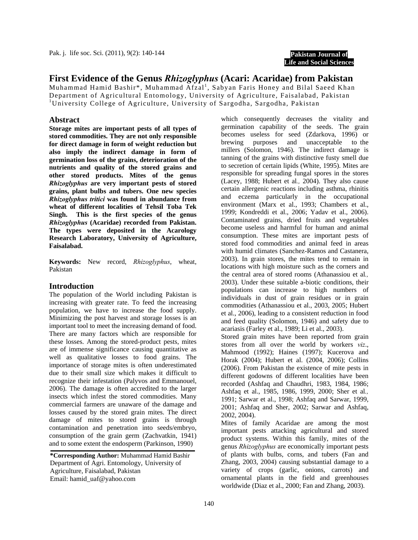**Pakistan Journal of Life and Social Sciences**

# **First Evidence of the Genus** *Rhizoglyphus* **(Acari: Acaridae) from Pakistan**

Muhammad Hamid Bashir\*, Muhammad Afzal<sup>1</sup>, Sabyan Faris Honey and Bilal Saeed Khan Department of Agricultural Entomology, University of Agriculture, Faisalabad, Pakistan <sup>1</sup>University College of Agriculture, University of Sargodha, Sargodha, Pakistan

## **Abstract**

**Storage mites are important pests of all types of stored commodities. They are not only responsible for direct damage in form of weight reduction but also imply the indirect damage in form of germination loss of the grains, deterioration of the nutrients and quality of the stored grains and other stored products. Mites of the genus**  *Rhizoglyphus* **are very important pests of stored grains, plant bulbs and tubers. One new species**  *Rhizoglyphus tritici* **was found in abundance from wheat of different localities of Tehsil Toba Tek Singh. This is the first species of the genus**  *Rhizoglyphus* **(Acaridae) recorded from Pakistan. The types were deposited in the Acarology Research Laboratory, University of Agriculture, Faisalabad.** 

**Keywords:** New record, *Rhizoglyphus*, wheat, Pakistan

#### **Introduction**

The population of the World including Pakistan is increasing with greater rate. To feed the increasing population, we have to increase the food supply. Minimizing the post harvest and storage losses is an important tool to meet the increasing demand of food. There are many factors which are responsible for these losses. Among the stored-product pests, mites are of immense significance causing quantitative as well as qualitative losses to food grains. The importance of storage mites is often underestimated due to their small size which makes it difficult to recognize their infestation (Palyvos and Emmanouel, 2006). The damage is often accredited to the larger insects which infest the stored commodities. Many commercial farmers are unaware of the damage and losses caused by the stored grain mites. The direct damage of mites to stored grains is through contamination and penetration into seeds/embryo, consumption of the grain germ (Zachvatkin, 1941) and to some extent the endosperm (Parkinson, 1990)

**\*Corresponding Author:** Muhammad Hamid Bashir Department of Agri. Entomology, University of Agriculture, Faisalabad, Pakistan Email: hamid\_uaf@yahoo.com

which consequently decreases the vitality and germination capability of the seeds. The grain becomes useless for seed (Zdarkova, 1996) or brewing purposes and unacceptable to the millers (Solomon, 1946). The indirect damage is tanning of the grains with distinctive fusty smell due to secretion of certain lipids (White, 1995). Mites are responsible for spreading fungal spores in the stores (Lacey, 1988; Hubert et al*.,* 2004). They also cause certain allergenic reactions including asthma, rhinitis and eczema particularly in the occupational environment (Marx et al., 1993; Chambers et al., 1999; Kondreddi et al., 2006; Yadav et al., 2006). Contaminated grains, dried fruits and vegetables become useless and harmful for human and animal consumption. These mites are important pests of stored food commodities and animal feed in areas with humid climates (Sanchez-Ramos and Castanera, 2003). In grain stores, the mites tend to remain in locations with high moisture such as the corners and the central area of stored rooms (Athanassiou et al*.,* 2003). Under these suitable a-biotic conditions, their populations can increase to high numbers of individuals in dust of grain residues or in grain commodities (Athanassiou et al., 2003, 2005; Hubert et al., 2006), leading to a consistent reduction in food and feed quality (Solomon, 1946) and safety due to acariasis (Farley et al., 1989; Li et al., 2003).

Stored grain mites have been reported from grain stores from all over the world by workers *viz*., Mahmood (1992); Haines (1997); Kucerova and Horak (2004); Hubert et al. (2004, 2006); Collins (2006). From Pakistan the existence of mite pests in different godowns of different localities have been recorded (Ashfaq and Chaudhri, 1983, 1984, 1986; Ashfaq et al., 1985, 1986, 1999, 2000; Sher et al*.,* 1991; Sarwar et al., 1998; Ashfaq and Sarwar, 1999, 2001; Ashfaq and Sher, 2002; Sarwar and Ashfaq, 2002, 2004).

Mites of family Acaridae are among the most important pests attacking agricultural and stored product systems. Within this family, mites of the genus *Rhizoglyphus* are economically important pests of plants with bulbs, corns, and tubers (Fan and Zhang, 2003, 2004) causing substantial damage to a variety of crops (garlic, onions, carrots) and ornamental plants in the field and greenhouses worldwide (Diaz et al., 2000; Fan and Zhang, 2003).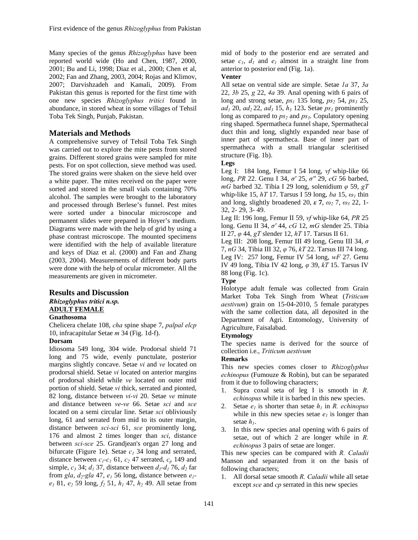Many species of the genus *Rhizoglyphus* have been reported world wide (Ho and Chen, 1987, 2000, 2001; Bu and Li, 1998; Diaz et al., 2000; Chen et al, 2002; Fan and Zhang, 2003, 2004; Rojas and Klimov, 2007; Darvishzadeh and Kamali, 2009). From Pakistan this genus is reported for the first time with one new species *Rhizoglyphus tritici* found in abundance, in stored wheat in some villages of Tehsil Toba Tek Singh, Punjab, Pakistan.

### **Materials and Methods**

A comprehensive survey of Tehsil Toba Tek Singh was carried out to explore the mite pests from stored grains. Different stored grains were sampled for mite pests. For on spot collection, sieve method was used. The stored grains were shaken on the sieve held over a white paper. The mites received on the paper were sorted and stored in the small vials containing 70% alcohol. The samples were brought to the laboratory and processed through Berlese's funnel. Pest mites were sorted under a binocular microscope and permanent slides were prepared in Hoyer's medium. Diagrams were made with the help of grid by using a phase contrast microscope. The mounted specimens were identified with the help of available literature and keys of Diaz et al. (2000) and Fan and Zhang (2003, 2004). Measurements of different body parts were done with the help of ocular micrometer. All the measurements are given in micrometer.

## **Results and Discussion**

# *Rhizoglyphus tritici n.sp.*  **ADULT FEMALE**

## **Gnathosoma**

Chelicera chelate 108, *cha* spine shape 7, *palpal elcp* 10, infracapitular Setae *m* 34 (Fig. 1d-f).

#### **Dorsam**

Idiosoma 549 long, 304 wide. Prodorsal shield 71 long and 75 wide, evenly punctulate, posterior margins slightly concave. Setae *vi* and *ve* located on prodorsal shield. Setae *vi* located on anterior margins of prodorsal shield while *ve* located on outer mid portion of shield. Setae *vi* thick, serrated and pionted, 82 long, distance between *vi-vi* 20. Setae *ve* minute and distance between *ve*-*ve* 66. Setae *sci* and *sce*  located on a semi circular line. Setae *sci* obliviously long, 61 and serrated from mid to its outer margin, distance between *sci-sci* 61, *sce* prominently long, 176 and almost 2 times longer than *sci*, distance between *sci-sce* 25. Grandjean's organ 27 long and bifurcate (Figure 1e). Setae  $c_1$  34 long and serrated, distance between  $c_1$ - $c_1$  61,  $c_2$  47 serrated,  $c_p$  149 and simple,  $c_3$  34;  $d_1$  37, distance between  $d_1$ - $d_1$  76,  $d_2$  far from *gla*,  $d_2$ -*gla* 47,  $e_1$  56 long, distance between  $e_1$ *e1* 81, *e2* 59 long, *f2* 51, *h1* 47, *h2* 49. All setae from

mid of body to the posterior end are serrated and setae  $c_1$ ,  $d_1$  and  $e_1$  almost in a straight line from anterior to posterior end (Fig. 1a).

#### **Venter**

All setae on ventral side are simple. Setae *1a* 37, *3a* 22, *3b* 25, *g* 22, *4a* 39. Anal opening with 6 pairs of long and strong setae,  $ps_1$  135 long,  $ps_2$  54,  $ps_3$  25,  $ad_1$  20,  $ad_2$  22,  $ad_3$  15,  $h_3$  123. Setae  $ps_1$  prominently long as compared to  $ps_2$  and  $ps_3$ . Copulatory opening ring shaped. Spermatheca funnel shape, Spermathecal duct thin and long, slightly expanded near base of inner part of spermatheca. Base of inner part of spermatheca with a small triangular scleritised structure (Fig. 1b).

#### **Legs**

Leg I: 184 long, Femur I 54 long, *vf* whip-like 66 long, *PR* 22. Genu I 34, *σ'* 25, *σ''* 29, *cG* 56 barbed, *mG* barbed 32. Tibia I 29 long, solenidium *φ* 59, *gT*  whip-like 15, *hT* 17. Tarsus I 59 long, *ba* 15, *ω1* thin and long, slightly broadened 20, *ε* **7**, *ω2* 7, *ω3* 22, 1- 32, 2- 29, 3- 49.

Leg II: 196 long, Femur II 59, *vf* whip-like 64, *PR* 25 long. Genu II 34, *σ'* 44, *cG* 12, *mG* slender 25. Tibia II 27, *φ* 44, *gT* slender 12, *hT* 17. Tarsus II 61.

Leg III: 208 long, Femur III 49 long, Genu III 34, *σ* 7, *nG* 34, Tibia III 32, *φ* 76, *kT* 22. Tarsus III 74 long. Leg IV: 257 long, Femur IV 54 long, *wF* 27. Genu IV 49 long, Tibia IV 42 long, *φ* 39, *kT* 15. Tarsus IV 88 long (Fig. 1c).

## **Type**

Holotype adult female was collected from Grain Market Toba Tek Singh from Wheat (*Triticum aestivum*) grain on 15-04-2010, 5 female paratypes with the same collection data, all deposited in the Department of Agri. Entomology, University of Agriculture, Faisalabad.

#### **Etymology**

The species name is derived for the source of collection i.e., *Triticum aestivum*

#### **Remarks**

This new species comes closer to *Rhizoglyphus echinopus* (Fumouze & Robin), but can be separated from it due to following characters;

- 1. Supra coxal seta of leg I is smooth in *R. echinopus* while it is barbed in this new species.
- 2. Setae  $e_1$  is shorter than setae  $h_1$  in *R. echinopus* while in this new species setae  $e_1$  is longer than setae *h1*.
- 3. In this new species anal opening with 6 pairs of setae, out of which 2 are longer while in *R. echinopus* 3 pairs of setae are longer.

This new species can be compared with *R. Caladii* Manson and separated from it on the basis of following characters;

1. All dorsal setae smooth *R. Caladii* while all setae except *sce* and *cp* serrated in this new species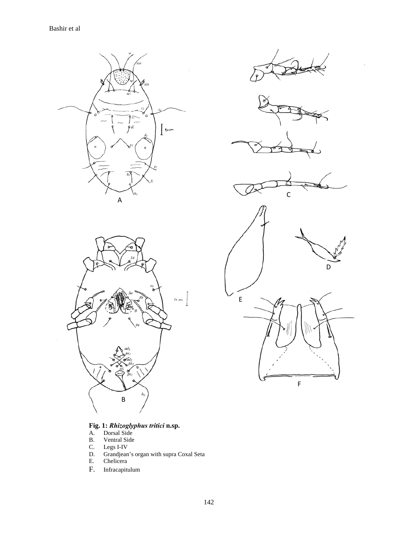









E D F C

## **Fig. 1:** *Rhizoglyphus tritici* **n.sp.**

- A. Dorsal Side
- B. Ventral Side
- C. Legs I-IV
- D. Grandjean's organ with supra Coxal Seta
- E. Chelicera
- F. Infracapitulum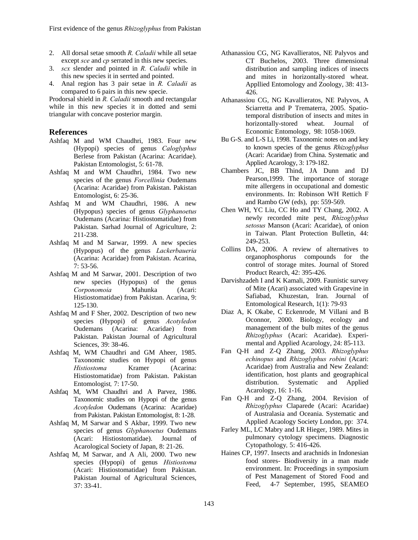- 2. All dorsal setae smooth *R. Caladii* while all setae except *sce* and *cp* serrated in this new species.
- 3. *scx* slender and pointed in *R. Caladii* while in this new species it in serrted and pointed.
- 4. Anal region has 3 pair setae in *R. Caladii* as compared to 6 pairs in this new specie.

Prodorsal shield in *R. Caladii* smooth and rectangular while in this new species it in dotted and semi triangular with concave posterior margin.

#### **References**

- Ashfaq M and WM Chaudhri, 1983. Four new (Hypopi) species of genus *Caloglyphus* Berlese from Pakistan (Acarina: Acaridae). Pakistan Entomologist, 5: 61-78.
- Ashfaq M and WM Chaudhri, 1984. Two new species of the genus *Forcellinia* Oudemans (Acarina: Acaridae) from Pakistan. Pakistan Entomologist, 6: 25-36.
- Ashfaq M and WM Chaudhri, 1986. A new (Hypopus) species of genus *Glyphanoetus* Oudemans (Acarina: Histiostomatidae) from Pakistan. Sarhad Journal of Agriculture, 2: 211-238.
- Ashfaq M and M Sarwar, 1999. A new species (Hypopus) of the genus *Lackerbaueria*  (Acarina: Acaridae) from Pakistan. Acarina, 7: 53-56.
- Ashfaq M and M Sarwar, 2001. Description of two new species (Hypopus) of the genus *Corponomoia* Mahunka (Acari: Histiostomatidae) from Pakistan. Acarina, 9: 125-130.
- Ashfaq M and F Sher, 2002. Description of two new species (Hypopi) of genus *Acotyledon* Oudemans (Acarina: Acaridae) from Pakistan. Pakistan Journal of Agricultural Sciences, 39: 38-46.
- Ashfaq M, WM Chaudhri and GM Aheer, 1985. Taxonomic studies on Hypopi of genus<br>Histiostoma Kramer (Acarina: *Histiostoma* Kramer Histiostomatidae) from Pakistan. Pakistan Entomologist*,* 7: 17-50.
- Ashfaq M, WM Chaudhri and A Parvez, 1986. Taxonomic studies on Hypopi of the genus *Acotyledon* Oudemans (Acarina: Acaridae) from Pakistan. Pakistan Entomologist, 8: 1-28.
- Ashfaq M, M Sarwar and S Akbar, 1999. Two new species of genus *Glyphanoetus* Oudemans (Acari: Histiostomatidae). Journal of Acarological Society of Japan, 8: 21-26.
- Ashfaq M, M Sarwar, and A Ali, 2000. Two new species (Hypopi) of genus *Histiostoma* (Acari: Histiostomatidae) from Pakistan. Pakistan Journal of Agricultural Sciences, 37: 33-41.
- Athanassiou CG, NG Kavallieratos, NE Palyvos and CT Buchelos, 2003. Three dimensional distribution and sampling indices of insects and mites in horizontally-stored wheat. Appllied Entomology and Zoology, 38: 413- 426.
- Athanassiou CG, NG Kavallieratos, NE Palyvos, A Sciarretta and P Trematerra, 2005. Spatiotemporal distribution of insects and mites in horizontally-stored wheat. Journal of Economic Entomology, 98: 1058-1069.
- Bu G-S. and L-S Li, 1998. Taxonomic notes on and key to known species of the genus *Rhizoglyphus*  (Acari: Acaridae) from China. Systematic and Applied Acarology, 3: 179-182.
- Chambers JC, BB Thind, JA Dunn and DJ Pearson,1999. The importance of storage mite allergens in occupational and domestic environments. In: Robinson WH Rettich F and Rambo GW (eds), pp: 559-569.
- Chen WH, YC Liu, CC Ho and TY Chang, 2002. A newly recorded mite pest, *Rhizoglyphus setosus* Manson (Acari: Acaridae), of onion in Taiwan. Plant Protection Bulletin, 44: 249-253.
- Collins DA, 2006. A review of alternatives to organophosphorus compounds for the control of storage mites. Journal of Stored Product Rearch, 42: 395-426.
- Darvishzadeh I and K Kamali, 2009. Faunistic survey of Mite (Acari) associated with Grapevine in Safiabad, Khuzestan, Iran. Journal of Entomological Research, 1(1): 79-93
- Diaz A, K Okabe, C Eckenrode, M Villani and B Oconnor, 2000. Biology, ecology and management of the bulb mites of the genus *Rhizoglyphus* (Acari: Acaridae). Experimental and Applied Acarology, 24: 85-113.
- Fan Q-H and Z-Q Zhang, 2003. *Rhizoglyphus echinopus* and *Rhizoglyphus robini* (Acari: Acaridae) from Australia and New Zealand: identification, host plants and geographical distribution. Systematic and Applied Acarology, 16: 1-16.
- Fan Q-H and Z-Q Zhang, 2004. Revision of *Rhizoglyphus* Claparede (Acari: Acaridae) of Australasia and Oceania. Systematic and Applied Acaology Society London, pp: 374.
- Farley ML, LC Mabry and LR Hieger, 1989. Mites in pulmonary cytology specimens. Diagnostic Cytopathology*,* 5: 416-426.
- Haines CP, 1997. Insects and arachnids in Indonesian food stores- Biodiversity in a man made environment. In: Proceedings in symposium of Pest Management of Stored Food and Feed, 4-7 September, 1995, SEAMEO